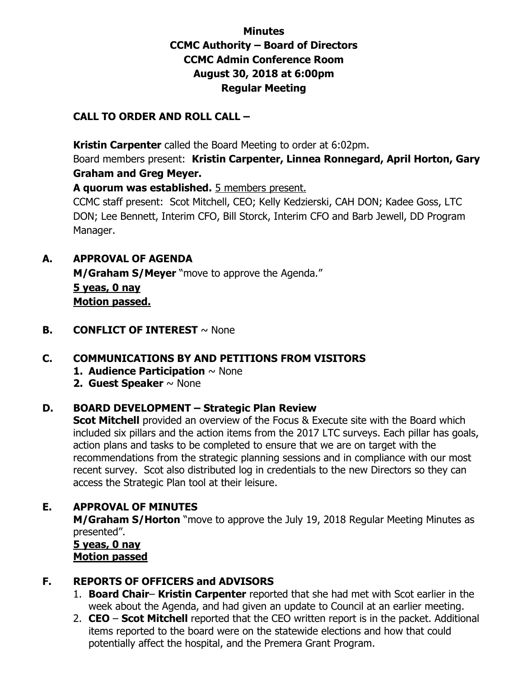# **Minutes CCMC Authority – Board of Directors CCMC Admin Conference Room August 30, 2018 at 6:00pm Regular Meeting**

#### **CALL TO ORDER AND ROLL CALL –**

 **Kristin Carpenter** called the Board Meeting to order at 6:02pm.

Board members present: **Kristin Carpenter, Linnea Ronnegard, April Horton, Gary Graham and Greg Meyer.** 

**A quorum was established.** 5 members present.

CCMC staff present: Scot Mitchell, CEO; Kelly Kedzierski, CAH DON; Kadee Goss, LTC DON; Lee Bennett, Interim CFO, Bill Storck, Interim CFO and Barb Jewell, DD Program Manager.

**A. APPROVAL OF AGENDA** 

**M/Graham S/Meyer** "move to approve the Agenda." **5 yeas, 0 nay Motion passed.** 

**B. CONFLICT OF INTEREST**  $\sim$  None

### **C. COMMUNICATIONS BY AND PETITIONS FROM VISITORS**

- **1. Audience Participation** ~ None
- **2. Guest Speaker** ~ None

### **D. BOARD DEVELOPMENT – Strategic Plan Review**

**Scot Mitchell** provided an overview of the Focus & Execute site with the Board which included six pillars and the action items from the 2017 LTC surveys. Each pillar has goals, action plans and tasks to be completed to ensure that we are on target with the recommendations from the strategic planning sessions and in compliance with our most recent survey. Scot also distributed log in credentials to the new Directors so they can access the Strategic Plan tool at their leisure.

### **E. APPROVAL OF MINUTES**

**M/Graham S/Horton** "move to approve the July 19, 2018 Regular Meeting Minutes as presented".

 **5 yeas, 0 nay Motion passed**

### **F. REPORTS OF OFFICERS and ADVISORS**

- 1. **Board Chair Kristin Carpenter** reported that she had met with Scot earlier in the week about the Agenda, and had given an update to Council at an earlier meeting.
- 2. **CEO Scot Mitchell** reported that the CEO written report is in the packet. Additional items reported to the board were on the statewide elections and how that could potentially affect the hospital, and the Premera Grant Program.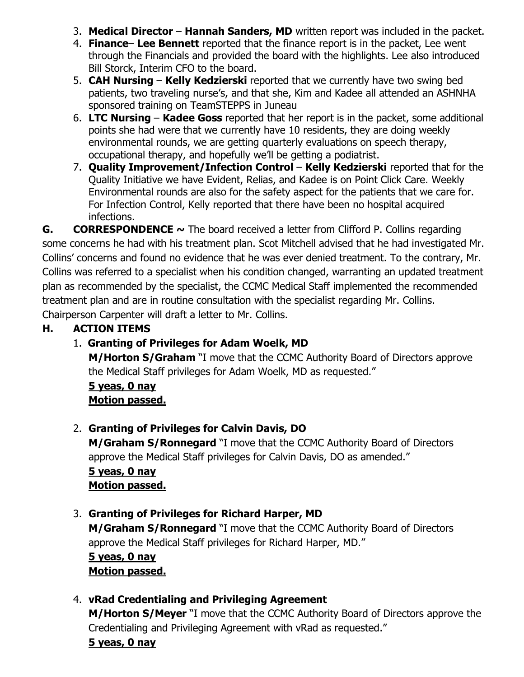- 3. **Medical Director Hannah Sanders, MD** written report was included in the packet.
- 4. **Finance Lee Bennett** reported that the finance report is in the packet, Lee went through the Financials and provided the board with the highlights. Lee also introduced Bill Storck, Interim CFO to the board.
- 5. **CAH Nursing Kelly Kedzierski** reported that we currently have two swing bed patients, two traveling nurse's, and that she, Kim and Kadee all attended an ASHNHA sponsored training on TeamSTEPPS in Juneau
- 6. **LTC Nursing Kadee Goss** reported that her report is in the packet, some additional points she had were that we currently have 10 residents, they are doing weekly environmental rounds, we are getting quarterly evaluations on speech therapy, occupational therapy, and hopefully we'll be getting a podiatrist.
- 7. **Quality Improvement/Infection Control Kelly Kedzierski** reported that for the Quality Initiative we have Evident, Relias, and Kadee is on Point Click Care. Weekly Environmental rounds are also for the safety aspect for the patients that we care for. For Infection Control, Kelly reported that there have been no hospital acquired infections.

**G. CORRESPONDENCE ~** The board received a letter from Clifford P. Collins regarding some concerns he had with his treatment plan. Scot Mitchell advised that he had investigated Mr. Collins' concerns and found no evidence that he was ever denied treatment. To the contrary, Mr. Collins was referred to a specialist when his condition changed, warranting an updated treatment plan as recommended by the specialist, the CCMC Medical Staff implemented the recommended treatment plan and are in routine consultation with the specialist regarding Mr. Collins. Chairperson Carpenter will draft a letter to Mr. Collins.

# **H. ACTION ITEMS**

# 1. **Granting of Privileges for Adam Woelk, MD**

**M/Horton S/Graham** "I move that the CCMC Authority Board of Directors approve the Medical Staff privileges for Adam Woelk, MD as requested."

**5 yeas, 0 nay Motion passed.** 

### 2. **Granting of Privileges for Calvin Davis, DO**

**M/Graham S/Ronnegard** "I move that the CCMC Authority Board of Directors approve the Medical Staff privileges for Calvin Davis, DO as amended." **5 yeas, 0 nay** 

### **Motion passed.**

3. **Granting of Privileges for Richard Harper, MD M/Graham S/Ronnegard** "I move that the CCMC Authority Board of Directors approve the Medical Staff privileges for Richard Harper, MD." **5 yeas, 0 nay Motion passed.** 

### 4. **vRad Credentialing and Privileging Agreement**

**M/Horton S/Meyer** "I move that the CCMC Authority Board of Directors approve the Credentialing and Privileging Agreement with vRad as requested."

#### **5 yeas, 0 nay**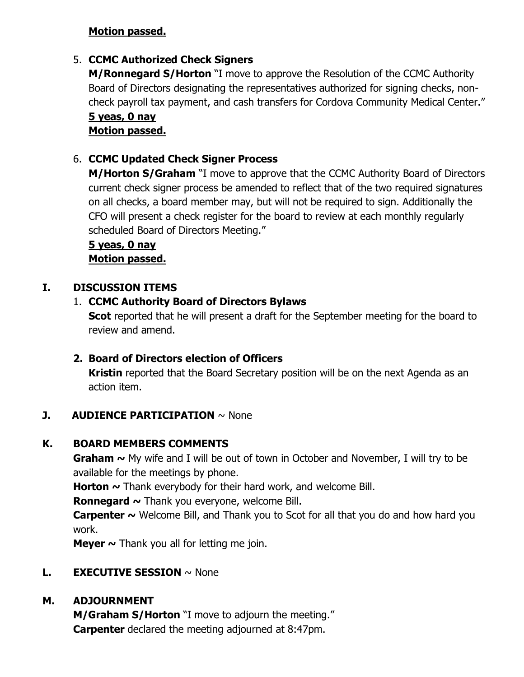### **Motion passed.**

## 5. **CCMC Authorized Check Signers**

**M/Ronnegard S/Horton** "I move to approve the Resolution of the CCMC Authority Board of Directors designating the representatives authorized for signing checks, noncheck payroll tax payment, and cash transfers for Cordova Community Medical Center."

#### **5 yeas, 0 nay Motion passed.**

## 6. **CCMC Updated Check Signer Process**

**M/Horton S/Graham** "I move to approve that the CCMC Authority Board of Directors current check signer process be amended to reflect that of the two required signatures on all checks, a board member may, but will not be required to sign. Additionally the CFO will present a check register for the board to review at each monthly regularly scheduled Board of Directors Meeting."

**5 yeas, 0 nay Motion passed.** 

### **I. DISCUSSION ITEMS**

### 1. **CCMC Authority Board of Directors Bylaws**

**Scot** reported that he will present a draft for the September meeting for the board to review and amend.

### **2. Board of Directors election of Officers**

**Kristin** reported that the Board Secretary position will be on the next Agenda as an action item.

### **J. AUDIENCE PARTICIPATION**  $\sim$  None

### **K. BOARD MEMBERS COMMENTS**

**Graham ~** My wife and I will be out of town in October and November, I will try to be available for the meetings by phone.

**Horton ~** Thank everybody for their hard work, and welcome Bill.

**Ronnegard ~** Thank you everyone, welcome Bill.

**Carpenter ~** Welcome Bill, and Thank you to Scot for all that you do and how hard you work.

**Meyer ~** Thank you all for letting me join.

### **L. EXECUTIVE SESSION** ~ None

### **M. ADJOURNMENT**

**M/Graham S/Horton** "I move to adjourn the meeting." **Carpenter** declared the meeting adjourned at 8:47pm.